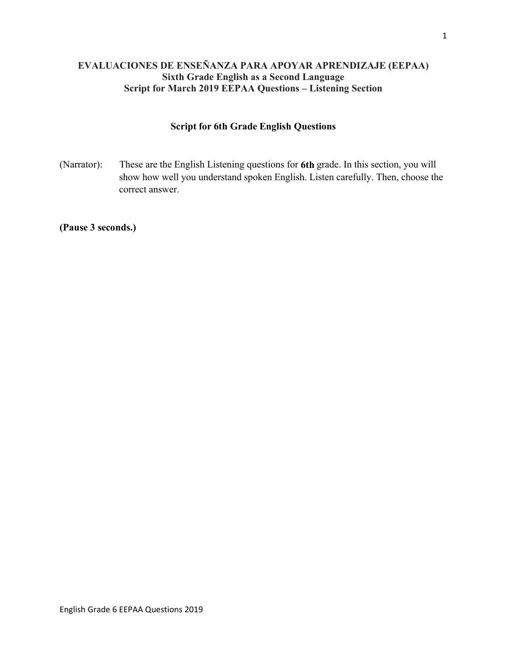# **EVALUACIONES DE ENSEÑANZA PARA APOYAR APRENDIZAJE (EEPAA) Sixth Grade English as a Second Language Script for March 2019 EEPAA Questions – Listening Section**

# **Script for 6th Grade English Questions**

(Narrator): These are the English Listening questions for **6th** grade. In this section, you will show how well you understand spoken English. Listen carefully. Then, choose the correct answer.

**(Pause 3 seconds.)**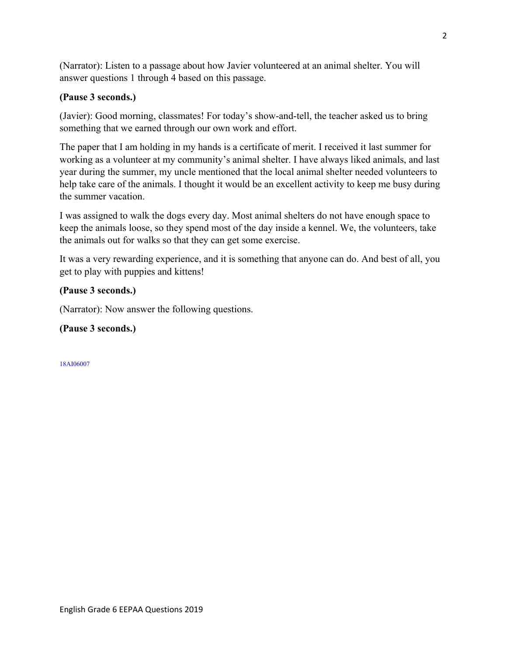(Narrator): Listen to a passage about how Javier volunteered at an animal shelter. You will answer questions 1 through 4 based on this passage.

## **(Pause 3 seconds.)**

(Javier): Good morning, classmates! For today's show-and-tell, the teacher asked us to bring something that we earned through our own work and effort.

The paper that I am holding in my hands is a certificate of merit. I received it last summer for working as a volunteer at my community's animal shelter. I have always liked animals, and last year during the summer, my uncle mentioned that the local animal shelter needed volunteers to help take care of the animals. I thought it would be an excellent activity to keep me busy during the summer vacation.

I was assigned to walk the dogs every day. Most animal shelters do not have enough space to keep the animals loose, so they spend most of the day inside a kennel. We, the volunteers, take the animals out for walks so that they can get some exercise.

It was a very rewarding experience, and it is something that anyone can do. And best of all, you get to play with puppies and kittens!

#### **(Pause 3 seconds.)**

(Narrator): Now answer the following questions.

## **(Pause 3 seconds.)**

18AI06007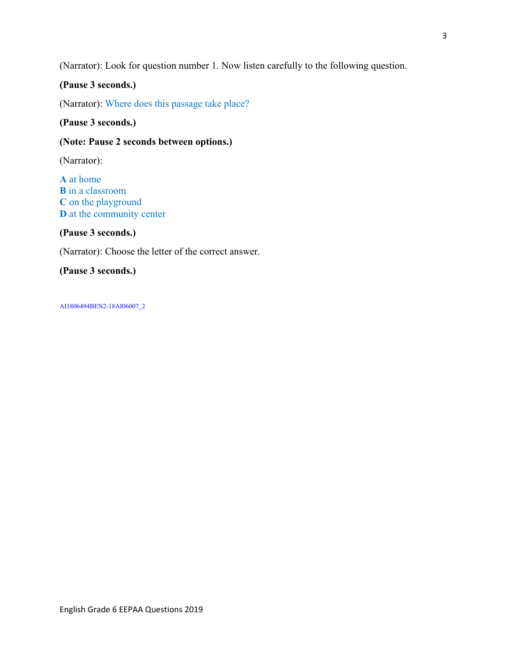(Narrator): Look for question number 1. Now listen carefully to the following question.

# **(Pause 3 seconds.)**

(Narrator): Where does this passage take place?

**(Pause 3 seconds.)** 

### **(Note: Pause 2 seconds between options.)**

(Narrator):

**A** at home **B** in a classroom **C** on the playground **D** at the community center

#### **(Pause 3 seconds.)**

(Narrator): Choose the letter of the correct answer.

# **(Pause 3 seconds.)**

AI1806494BEN2-18AI06007\_2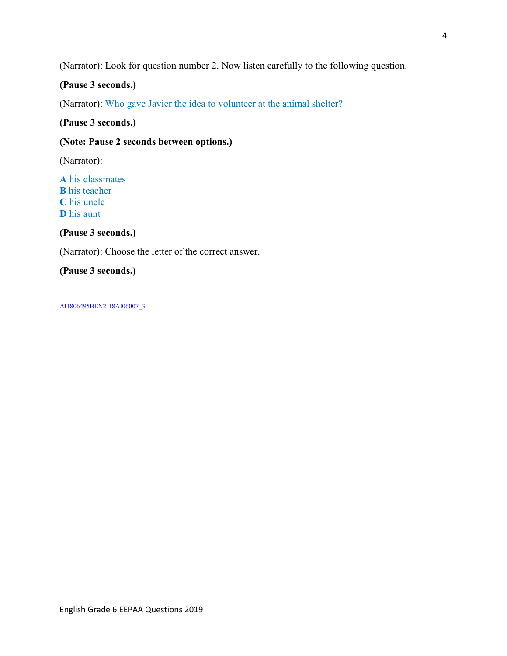(Narrator): Look for question number 2. Now listen carefully to the following question.

# **(Pause 3 seconds.)**

(Narrator): Who gave Javier the idea to volunteer at the animal shelter?

## **(Pause 3 seconds.)**

## **(Note: Pause 2 seconds between options.)**

(Narrator):

**A** his classmates **B** his teacher **C** his uncle **D** his aunt

**(Pause 3 seconds.)** 

(Narrator): Choose the letter of the correct answer.

# **(Pause 3 seconds.)**

AI1806495BEN2-18AI06007\_3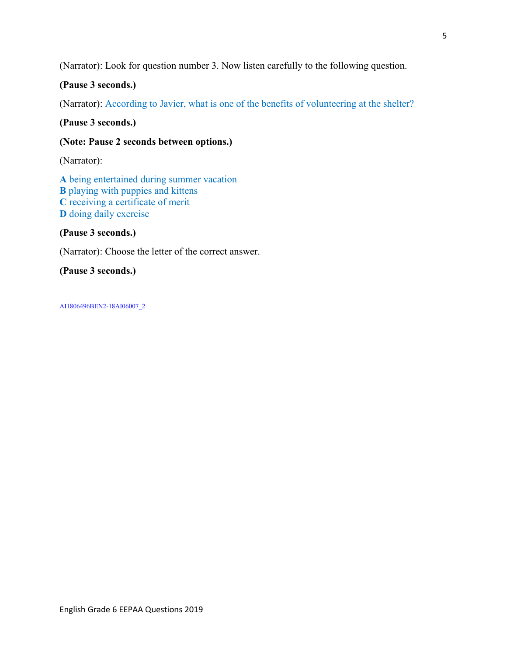(Narrator): Look for question number 3. Now listen carefully to the following question.

## **(Pause 3 seconds.)**

(Narrator): According to Javier, what is one of the benefits of volunteering at the shelter?

**(Pause 3 seconds.)** 

## **(Note: Pause 2 seconds between options.)**

(Narrator):

**A** being entertained during summer vacation **B** playing with puppies and kittens **C** receiving a certificate of merit **D** doing daily exercise

## **(Pause 3 seconds.)**

(Narrator): Choose the letter of the correct answer.

# **(Pause 3 seconds.)**

AI1806496BEN2-18AI06007\_2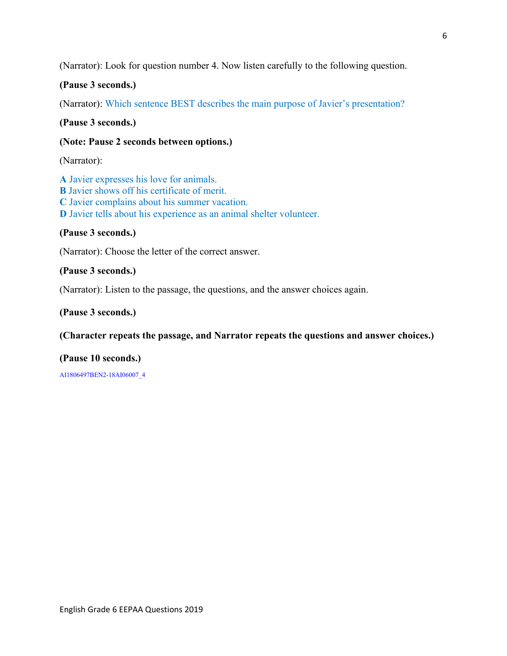(Narrator): Look for question number 4. Now listen carefully to the following question.

# **(Pause 3 seconds.)**

(Narrator): Which sentence BEST describes the main purpose of Javier's presentation?

**(Pause 3 seconds.)** 

## **(Note: Pause 2 seconds between options.)**

(Narrator):

**A** Javier expresses his love for animals. **B** Javier shows off his certificate of merit. **C** Javier complains about his summer vacation. **D** Javier tells about his experience as an animal shelter volunteer.

## **(Pause 3 seconds.)**

(Narrator): Choose the letter of the correct answer.

#### **(Pause 3 seconds.)**

(Narrator): Listen to the passage, the questions, and the answer choices again.

#### **(Pause 3 seconds.)**

#### **(Character repeats the passage, and Narrator repeats the questions and answer choices.)**

# **(Pause 10 seconds.)**

AI1806497BEN2-18AI06007\_4